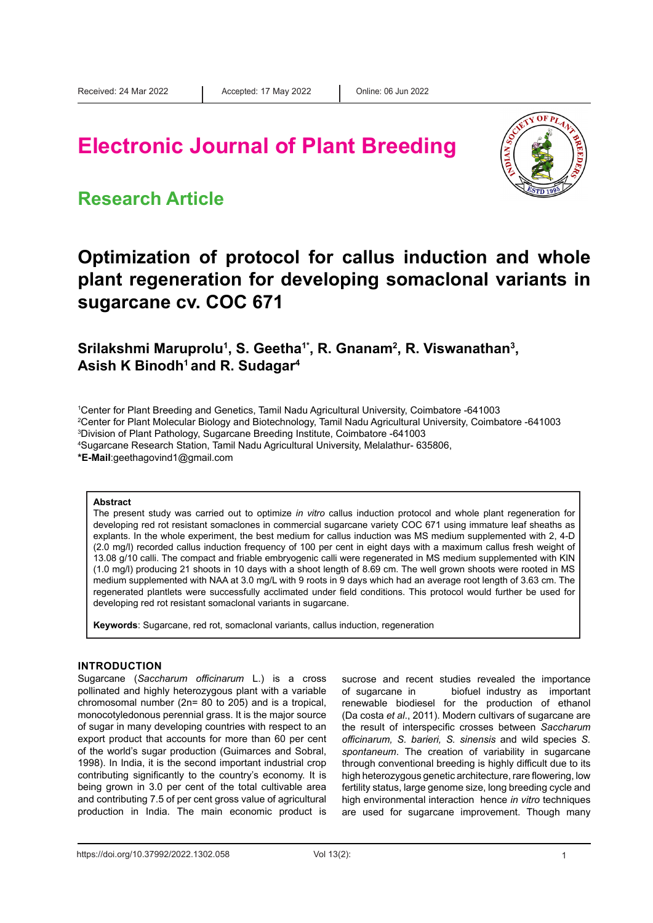# **Electronic Journal of Plant Breeding**



### **Research Article**

## **Optimization of protocol for callus induction and whole plant regeneration for developing somaclonal variants in sugarcane cv. COC 671**

**Srilakshmi Maruprolu1 , S. Geetha1\*, R. Gnanam2 , R. Viswanathan3 ,**  Asish K Binodh<sup>1</sup> and R. Sudagar<sup>4</sup>

 Center for Plant Breeding and Genetics, Tamil Nadu Agricultural University, Coimbatore -641003 Center for Plant Molecular Biology and Biotechnology, Tamil Nadu Agricultural University, Coimbatore -641003 Division of Plant Pathology, Sugarcane Breeding Institute, Coimbatore -641003 Sugarcane Research Station, Tamil Nadu Agricultural University, Melalathur- 635806,

**\*E-Mail**:geethagovind1@gmail.com

#### **Abstract**

The present study was carried out to optimize *in vitro* callus induction protocol and whole plant regeneration for developing red rot resistant somaclones in commercial sugarcane variety COC 671 using immature leaf sheaths as explants. In the whole experiment, the best medium for callus induction was MS medium supplemented with 2, 4-D (2.0 mg/l) recorded callus induction frequency of 100 per cent in eight days with a maximum callus fresh weight of 13.08 g/10 calli. The compact and friable embryogenic calli were regenerated in MS medium supplemented with KIN (1.0 mg/l) producing 21 shoots in 10 days with a shoot length of 8.69 cm. The well grown shoots were rooted in MS medium supplemented with NAA at 3.0 mg/L with 9 roots in 9 days which had an average root length of 3.63 cm. The regenerated plantlets were successfully acclimated under field conditions. This protocol would further be used for developing red rot resistant somaclonal variants in sugarcane.

**Keywords**: Sugarcane, red rot, somaclonal variants, callus induction, regeneration

#### **INTRODUCTION**

Sugarcane (*Saccharum officinarum* L.) is a cross pollinated and highly heterozygous plant with a variable chromosomal number (2n= 80 to 205) and is a tropical, monocotyledonous perennial grass. It is the major source of sugar in many developing countries with respect to an export product that accounts for more than 60 per cent of the world's sugar production (Guimarces and Sobral, 1998). In India, it is the second important industrial crop contributing significantly to the country's economy. It is being grown in 3.0 per cent of the total cultivable area and contributing 7.5 of per cent gross value of agricultural production in India. The main economic product is

sucrose and recent studies revealed the importance of sugarcane in biofuel industry as important renewable biodiesel for the production of ethanol (Da costa *et al*., 2011). Modern cultivars of sugarcane are the result of interspecific crosses between *Saccharum officinarum, S. barieri, S. sinensis* and wild species *S. spontaneum*. The creation of variability in sugarcane through conventional breeding is highly difficult due to its high heterozygous genetic architecture, rare flowering, low fertility status, large genome size, long breeding cycle and high environmental interaction hence *in vitro* techniques are used for sugarcane improvement. Though many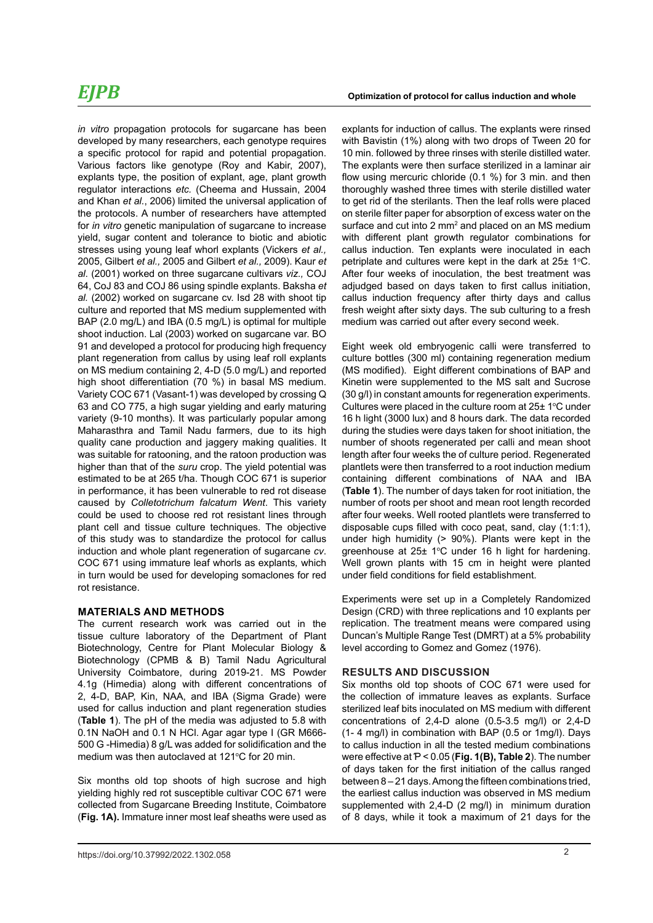## *EJPB*

*in vitro* propagation protocols for sugarcane has been developed by many researchers, each genotype requires a specific protocol for rapid and potential propagation. Various factors like genotype (Roy and Kabir, 2007), explants type, the position of explant, age, plant growth regulator interactions *etc.* (Cheema and Hussain, 2004 and Khan *et al.*, 2006) limited the universal application of the protocols. A number of researchers have attempted for *in vitro* genetic manipulation of sugarcane to increase yield, sugar content and tolerance to biotic and abiotic stresses using young leaf whorl explants (Vickers *et al.,* 2005, Gilbert *et al.,* 2005 and Gilbert *et al.,* 2009). Kaur *et al*. (2001) worked on three sugarcane cultivars *viz.,* COJ 64, CoJ 83 and COJ 86 using spindle explants. Baksha *et al.* (2002) worked on sugarcane cv. Isd 28 with shoot tip culture and reported that MS medium supplemented with BAP (2.0 mg/L) and IBA (0.5 mg/L) is optimal for multiple shoot induction. Lal (2003) worked on sugarcane var. BO 91 and developed a protocol for producing high frequency plant regeneration from callus by using leaf roll explants on MS medium containing 2, 4-D (5.0 mg/L) and reported high shoot differentiation (70 %) in basal MS medium. Variety COC 671 (Vasant-1) was developed by crossing Q 63 and CO 775, a high sugar yielding and early maturing variety (9-10 months). It was particularly popular among Maharasthra and Tamil Nadu farmers, due to its high quality cane production and jaggery making qualities. It was suitable for ratooning, and the ratoon production was higher than that of the *suru* crop. The yield potential was estimated to be at 265 t/ha. Though COC 671 is superior in performance, it has been vulnerable to red rot disease caused by *Colletotrichum falcatum Went*. This variety could be used to choose red rot resistant lines through plant cell and tissue culture techniques. The objective of this study was to standardize the protocol for callus induction and whole plant regeneration of sugarcane *cv*. COC 671 using immature leaf whorls as explants*,* which in turn would be used for developing somaclones for red rot resistance.

#### **MATERIALS AND METHODS**

The current research work was carried out in the tissue culture laboratory of the Department of Plant Biotechnology, Centre for Plant Molecular Biology & Biotechnology (CPMB & B) Tamil Nadu Agricultural University Coimbatore, during 2019-21. MS Powder 4.1g (Himedia) along with different concentrations of 2, 4-D, BAP, Kin, NAA, and IBA (Sigma Grade) were used for callus induction and plant regeneration studies (**Table 1**). The pH of the media was adjusted to 5.8 with 0.1N NaOH and 0.1 N HCl. Agar agar type I (GR M666- 500 G -Himedia) 8 g/L was added for solidification and the medium was then autoclaved at 121°C for 20 min.

Six months old top shoots of high sucrose and high yielding highly red rot susceptible cultivar COC 671 were collected from Sugarcane Breeding Institute, Coimbatore (**Fig. 1A).** Immature inner most leaf sheaths were used as explants for induction of callus. The explants were rinsed with Bavistin (1%) along with two drops of Tween 20 for 10 min. followed by three rinses with sterile distilled water. The explants were then surface sterilized in a laminar air flow using mercuric chloride (0.1 %) for 3 min. and then thoroughly washed three times with sterile distilled water to get rid of the sterilants. Then the leaf rolls were placed on sterile filter paper for absorption of excess water on the surface and cut into 2  $mm<sup>2</sup>$  and placed on an MS medium with different plant growth regulator combinations for callus induction. Ten explants were inoculated in each petriplate and cultures were kept in the dark at  $25\pm 1^{\circ}$ C. After four weeks of inoculation, the best treatment was adjudged based on days taken to first callus initiation, callus induction frequency after thirty days and callus fresh weight after sixty days. The sub culturing to a fresh medium was carried out after every second week.

Eight week old embryogenic calli were transferred to culture bottles (300 ml) containing regeneration medium (MS modified). Eight different combinations of BAP and Kinetin were supplemented to the MS salt and Sucrose (30 g/l) in constant amounts for regeneration experiments. Cultures were placed in the culture room at  $25<sup>±</sup>$  1 $°C$  under 16 h light (3000 lux) and 8 hours dark. The data recorded during the studies were days taken for shoot initiation, the number of shoots regenerated per calli and mean shoot length after four weeks the of culture period. Regenerated plantlets were then transferred to a root induction medium containing different combinations of NAA and IBA (**Table 1**). The number of days taken for root initiation, the number of roots per shoot and mean root length recorded after four weeks. Well rooted plantlets were transferred to disposable cups filled with coco peat, sand, clay (1:1:1), under high humidity (> 90%). Plants were kept in the greenhouse at  $25\pm 1^{\circ}$ C under 16 h light for hardening. Well grown plants with 15 cm in height were planted under field conditions for field establishment.

Experiments were set up in a Completely Randomized Design (CRD) with three replications and 10 explants per replication. The treatment means were compared using Duncan's Multiple Range Test (DMRT) at a 5% probability level according to Gomez and Gomez (1976).

#### **RESULTS AND DISCUSSION**

Six months old top shoots of COC 671 were used for the collection of immature leaves as explants. Surface sterilized leaf bits inoculated on MS medium with different concentrations of 2,4-D alone (0.5-3.5 mg/l) or 2,4-D (1- 4 mg/l) in combination with BAP (0.5 or 1mg/l). Days to callus induction in all the tested medium combinations were effective at Ƥ < 0.05 (**Fig. 1(B), Table 2**). The number of days taken for the first initiation of the callus ranged between 8 – 21 days. Among the fifteen combinations tried, the earliest callus induction was observed in MS medium supplemented with 2,4-D (2 mg/l) in minimum duration of 8 days, while it took a maximum of 21 days for the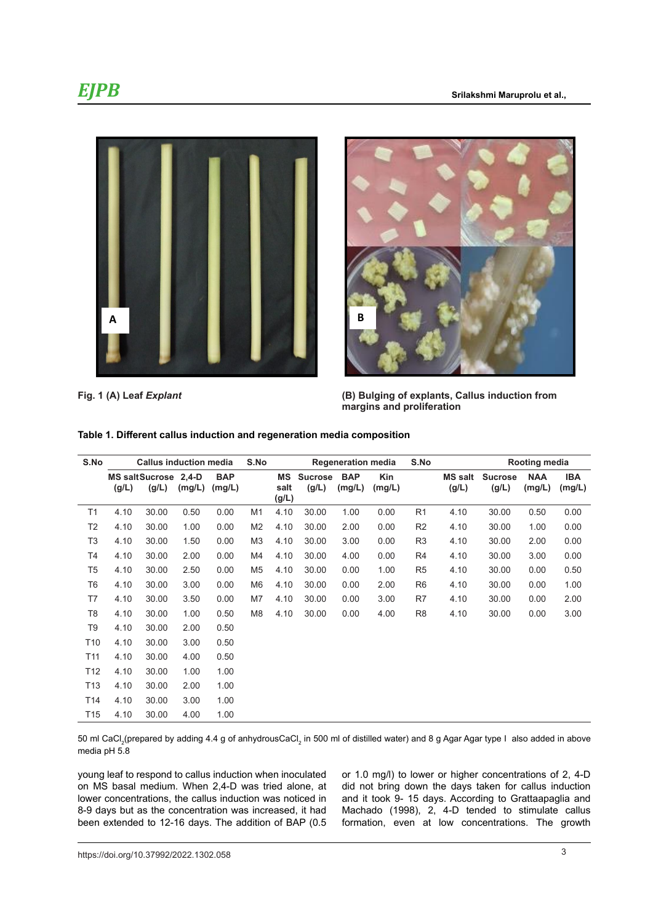



**Fig. 1 (A) Leaf** *Explant* **(B) Bulging of explants, Callus Fig. 1 (A) Leaf** *Explant* **(B) Bulging of explants, Callus induction from induction from margins and margins and proliferation**

| S.No            | <b>Callus induction media</b> |                               |        | S.No                 | <b>Regeneration media</b> |                     |                         | S.No                 | Rooting media |                |                         |                         |                      |                      |
|-----------------|-------------------------------|-------------------------------|--------|----------------------|---------------------------|---------------------|-------------------------|----------------------|---------------|----------------|-------------------------|-------------------------|----------------------|----------------------|
|                 | (g/L)                         | MS saltSucrose 2.4-D<br>(g/L) | (mg/L) | <b>BAP</b><br>(mg/L) |                           | MS<br>salt<br>(g/L) | <b>Sucrose</b><br>(g/L) | <b>BAP</b><br>(mg/L) | Kin<br>(mg/L) |                | <b>MS salt</b><br>(g/L) | <b>Sucrose</b><br>(g/L) | <b>NAA</b><br>(mg/L) | <b>IBA</b><br>(mg/L) |
| T1              | 4.10                          | 30.00                         | 0.50   | 0.00                 | M <sub>1</sub>            | 4.10                | 30.00                   | 1.00                 | 0.00          | R <sub>1</sub> | 4.10                    | 30.00                   | 0.50                 | 0.00                 |
| T <sub>2</sub>  | 4.10                          | 30.00                         | 1.00   | 0.00                 | M <sub>2</sub>            | 4.10                | 30.00                   | 2.00                 | 0.00          | R <sub>2</sub> | 4.10                    | 30.00                   | 1.00                 | 0.00                 |
| T <sub>3</sub>  | 4.10                          | 30.00                         | 1.50   | 0.00                 | M <sub>3</sub>            | 4.10                | 30.00                   | 3.00                 | 0.00          | R <sub>3</sub> | 4.10                    | 30.00                   | 2.00                 | 0.00                 |
| T4              | 4.10                          | 30.00                         | 2.00   | 0.00                 | M4                        | 4.10                | 30.00                   | 4.00                 | 0.00          | R4             | 4.10                    | 30.00                   | 3.00                 | 0.00                 |
| T <sub>5</sub>  | 4.10                          | 30.00                         | 2.50   | 0.00                 | M5                        | 4.10                | 30.00                   | 0.00                 | 1.00          | R <sub>5</sub> | 4.10                    | 30.00                   | 0.00                 | 0.50                 |
| T <sub>6</sub>  | 4.10                          | 30.00                         | 3.00   | 0.00                 | M6                        | 4.10                | 30.00                   | 0.00                 | 2.00          | R <sub>6</sub> | 4.10                    | 30.00                   | 0.00                 | 1.00                 |
| T7              | 4.10                          | 30.00                         | 3.50   | 0.00                 | M7                        | 4.10                | 30.00                   | 0.00                 | 3.00          | R7             | 4.10                    | 30.00                   | 0.00                 | 2.00                 |
| T8              | 4.10                          | 30.00                         | 1.00   | 0.50                 | M <sub>8</sub>            | 4.10                | 30.00                   | 0.00                 | 4.00          | R <sub>8</sub> | 4.10                    | 30.00                   | 0.00                 | 3.00                 |
| T9              | 4.10                          | 30.00                         | 2.00   | 0.50                 |                           |                     |                         |                      |               |                |                         |                         |                      |                      |
| T <sub>10</sub> | 4.10                          | 30.00                         | 3.00   | 0.50                 |                           |                     |                         |                      |               |                |                         |                         |                      |                      |
| T <sub>11</sub> | 4.10                          | 30.00                         | 4.00   | 0.50                 |                           |                     |                         |                      |               |                |                         |                         |                      |                      |
| T <sub>12</sub> | 4.10                          | 30.00                         | 1.00   | 1.00                 |                           |                     |                         |                      |               |                |                         |                         |                      |                      |
| T <sub>13</sub> | 4.10                          | 30.00                         | 2.00   | 1.00                 |                           |                     |                         |                      |               |                |                         |                         |                      |                      |
| T <sub>14</sub> | 4.10                          | 30.00                         | 3.00   | 1.00                 |                           |                     |                         |                      |               |                |                         |                         |                      |                      |
| T <sub>15</sub> | 4.10                          | 30.00                         | 4.00   | 1.00                 |                           |                     |                         |                      |               |                |                         |                         |                      |                      |

### **proliferation Table 1. Different callus induction and regeneration media composition**

50 ml CaCl $_2$ (prepared by adding 4.4 g of anhydrousCaCl $_2$  in 500 ml of distilled water) and 8 g Agar Agar type I also added in above media pH 5.8

young leaf to respond to callus induction when inoculated on MS basal medium. When 2,4-D was tried alone, at lower concentrations, the callus induction was noticed in 8-9 days but as the concentration was increased, it had been extended to 12-16 days. The addition of BAP (0.5 or 1.0 mg/l) to lower or higher concentrations of 2, 4-D did not bring down the days taken for callus induction and it took 9- 15 days. According to Grattaapaglia and Machado (1998), 2, 4-D tended to stimulate callus formation, even at low concentrations. The growth

3 https://doi.org/10.37992/2022.1302.058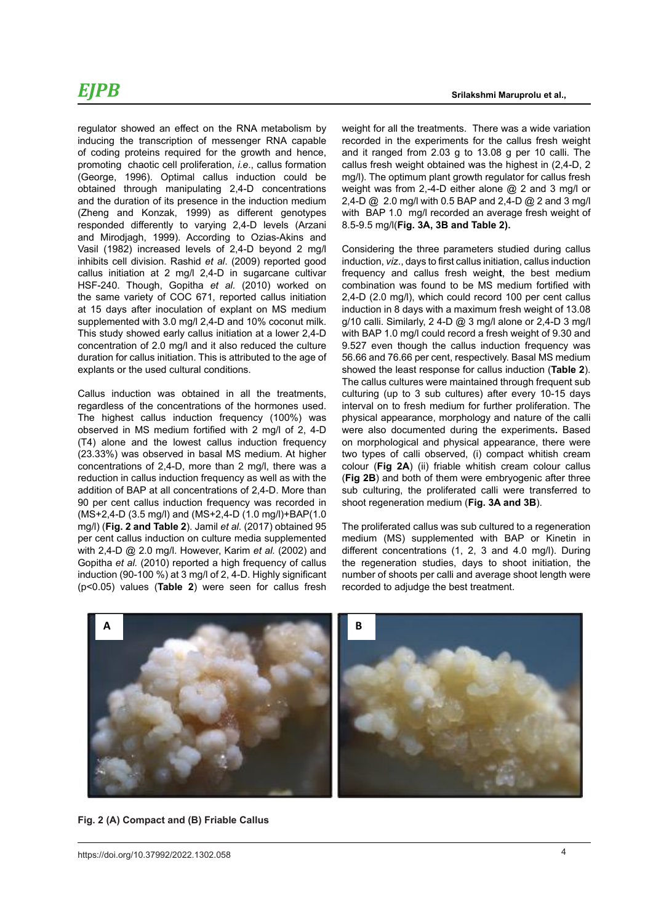### *EJPB*

regulator showed an effect on the RNA metabolism by inducing the transcription of messenger RNA capable of coding proteins required for the growth and hence, promoting chaotic cell proliferation, *i.e*., callus formation (George, 1996). Optimal callus induction could be obtained through manipulating 2,4-D concentrations and the duration of its presence in the induction medium (Zheng and Konzak, 1999) as different genotypes responded differently to varying 2,4-D levels (Arzani and Mirodjagh, 1999). According to Ozias-Akins and Vasil (1982) increased levels of 2,4-D beyond 2 mg/l inhibits cell division. Rashid *et al*. (2009) reported good callus initiation at 2 mg/l 2,4-D in sugarcane cultivar HSF-240. Though, Gopitha *et al.* (2010) worked on the same variety of COC 671, reported callus initiation at 15 days after inoculation of explant on MS medium supplemented with 3.0 mg/l 2,4-D and 10% coconut milk. This study showed early callus initiation at a lower 2,4-D concentration of 2.0 mg/l and it also reduced the culture duration for callus initiation. This is attributed to the age of explants or the used cultural conditions.

Callus induction was obtained in all the treatments, regardless of the concentrations of the hormones used. The highest callus induction frequency (100%) was observed in MS medium fortified with 2 mg/l of 2, 4-D (T4) alone and the lowest callus induction frequency (23.33%) was observed in basal MS medium. At higher concentrations of 2,4-D, more than 2 medium. At higher two it concentrations of 2,4-D, more than 2 mg/l, there was a reduction in callus induction frequency as well as with the addition of BAP at all concentrations of 2,4-D. More than 90 per cent callus induction frequency was recorded in (MS+2,4-D (3.5 mg/l) and (MS+2,4-D (1.0 mg/l)+BAP(1.0 mg/l) (**Fig. 2 and Table 2**). Jamil *et al.* (2017) obtained 95 per cent callus induction on culture media supplemented medium (MS) supplemented with BAF with 2,4-D @ 2.0 mg/l. However, Karim *et al.* (2002) and Gopitha *et al.* (2010) reported a high frequency of callus induction (90-100 %) at 3 mg/l of 2, 4-D. Highly significant (p<0.05) values (**Table 2**) were seen for callus fresh

weight for all the treatments. There was a wide variation recorded in the experiments for the callus fresh weight and it ranged from 2.03 g to 13.08 g per 10 calli. The callus fresh weight obtained was the highest in (2,4-D, 2 mg/l). The optimum plant growth regulator for callus fresh weight was from 2,-4-D either alone @ 2 and 3 mg/l or 2,4-D @ 2.0 mg/l with 0.5 BAP and 2,4-D @ 2 and 3 mg/l with BAP 1.0 mg/l recorded an average fresh weight of 8.5-9.5 mg/l(**Fig. 3A, 3B and Table 2).**

Considering the three parameters studied during callus induction, *viz*., days to first callus initiation, callus induction frequency and callus fresh weigh**t**, the best medium combination was found to be MS medium fortified with 2,4-D (2.0 mg/l), which could record 100 per cent callus induction in 8 days with a maximum fresh weight of 13.08 g/10 calli. Similarly, 2 4-D @ 3 mg/l alone or  $2,4$ -D 3 mg/l with BAP 1.0 mg/l could record a fresh weight of 9.30 and 9.527 even though the callus induction frequency was 56.66 and 76.66 per cent, respectively. Basal MS medium showed the least response for callus induction (**Table 2**). The callus cultures were maintained through frequent sub culturing (up to 3 sub cultures) after every 10-15 days interval on to fresh medium for further proliferation. The physical appearance, morphology and nature of the calli were also documented during the experiments**.** Based on morphological and physical appearance, there were two types of calli observed, (i) compact whitish cream colour (**Fig 2A**) (ii) friable whitish cream colour callus (**Fig 2B**) and both of them were embryogenic after three sub culturing, the proliferated calli were transferred to shoot regeneration medium (**Fig. 3A and 3B**).

different concentrations (1, 2, 3 and 4.0 mg/l). During **proliferation** number of shoots per calli and average shoot length were The proliferated callus was sub cultured to a regeneration medium (MS) supplemented with BAP or Kinetin in the regeneration studies, days to shoot initiation, the recorded to adjudge the best treatment.



**Fig. 2 (A) Compact and (B) Friable Callus Fig. 2 (A) Compact and (B) Friable Callus**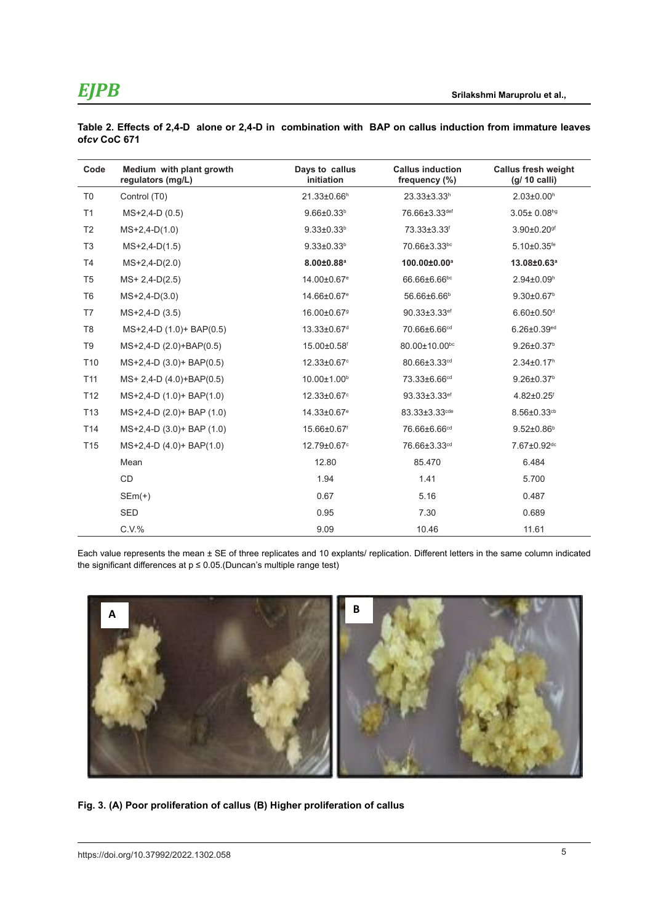| Code            | Medium with plant growth<br>regulators (mg/L) | Days to callus<br>initiation | <b>Callus induction</b><br>frequency (%) | <b>Callus fresh weight</b><br>$(g/ 10$ calli) |
|-----------------|-----------------------------------------------|------------------------------|------------------------------------------|-----------------------------------------------|
| T <sub>0</sub>  | Control (T0)                                  | 21.33±0.66h                  | $23.33 \pm 3.33^h$                       | $2.03 \pm 0.00$ <sup>h</sup>                  |
| T1              | $MS+2.4-D(0.5)$                               | $9.66 \pm 0.33^b$            | 76.66±3.33def                            | 3.05± 0.08hg                                  |
| T <sub>2</sub>  | $MS+2,4-D(1.0)$                               | $9.33 \pm 0.33^b$            | 73.33±3.33 <sup>f</sup>                  | $3.90 \pm 0.20$ <sup>gf</sup>                 |
| T <sub>3</sub>  | $MS+2,4-D(1.5)$                               | $9.33 \pm 0.33^b$            | 70.66±3.33bc                             | $5.10 \pm 0.35$ <sup>fe</sup>                 |
| T <sub>4</sub>  | $MS+2,4-D(2.0)$                               | $8.00 \pm 0.88$ <sup>a</sup> | 100.00±0.00 <sup>a</sup>                 | 13.08±0.63ª                                   |
| T <sub>5</sub>  | $MS+2,4-D(2.5)$                               | 14.00±0.67 <sup>e</sup>      | 66.66±6.66bc                             | $2.94 \pm 0.09^h$                             |
| T <sub>6</sub>  | $MS+2,4-D(3.0)$                               | 14.66±0.67 <sup>e</sup>      | 56.66±6.66 <sup>b</sup>                  | $9.30 \pm 0.67$ <sup>b</sup>                  |
| T7              | $MS+2,4-D(3.5)$                               | 16.00±0.679                  | 90.33±3.33ef                             | $6.60 \pm 0.50$ <sup>d</sup>                  |
| T <sub>8</sub>  | MS+2,4-D (1.0)+ BAP(0.5)                      | 13.33±0.67 <sup>d</sup>      | 70.66±6.66 <sup>cd</sup>                 | $6.26 \pm 0.39^{\rm ed}$                      |
| T9              | MS+2,4-D (2.0)+BAP(0.5)                       | 15.00±0.58f                  | 80.00±10.00 <sup>bc</sup>                | $9.26 \pm 0.37$ <sup>b</sup>                  |
| T <sub>10</sub> | MS+2,4-D (3.0)+ BAP(0.5)                      | 12.33±0.67°                  | 80.66±3.33 <sup>cd</sup>                 | $2.34 \pm 0.17$ <sup>h</sup>                  |
| T <sub>11</sub> | $MS+ 2.4-D (4.0)+BAP(0.5)$                    | 10.00±1.00 <sup>b</sup>      | 73.33±6.66 <sup>cd</sup>                 | $9.26 \pm 0.37$ <sup>b</sup>                  |
| T <sub>12</sub> | $MS+2,4-D (1.0) + BAP(1.0)$                   | 12.33±0.67°                  | 93.33±3.33ef                             | $4.82 \pm 0.25$ <sup>f</sup>                  |
| T <sub>13</sub> | MS+2,4-D (2.0)+ BAP (1.0)                     | 14.33±0.67 <sup>e</sup>      | 83.33±3.33 <sup>cde</sup>                | $8.56 \pm 0.33$ cb                            |
| T <sub>14</sub> | MS+2,4-D (3.0)+ BAP (1.0)                     | 15.66±0.67f                  | 76.66±6.66 <sup>cd</sup>                 | $9.52 \pm 0.86^{\circ}$                       |
| T <sub>15</sub> | $MS+2,4-D (4.0) + BAP(1.0)$                   | 12.79±0.67°                  | 76.66±3.33 <sup>cd</sup>                 | 7.67±0.92 <sup>dc</sup>                       |
|                 | Mean                                          | 12.80                        | 85.470                                   | 6.484                                         |
|                 | <b>CD</b>                                     | 1.94                         | 1.41                                     | 5.700                                         |
|                 | $SEm(+)$                                      | 0.67                         | 5.16                                     | 0.487                                         |
|                 | <b>SED</b>                                    | 0.95                         | 7.30                                     | 0.689                                         |
|                 | $C.V.$ %                                      | 9.09                         | 10.46                                    | 11.61                                         |

**Table 2. Effects of 2,4-D alone or 2,4-D in combination with BAP on callus induction from immature leaves of***cv* **CoC 671**

Each value represents the mean ± SE of three replicates and 10 explants/ replication. Different letters in the same column indicated the significant differences at  $p \le 0.05$ . (Duncan's multiple range test)



**Fig.3. (A) Poor proliferation of callus (B) Higher proliferation of callus Fig. 3. (A) Poor proliferation of callus (B) Higher proliferation of callus**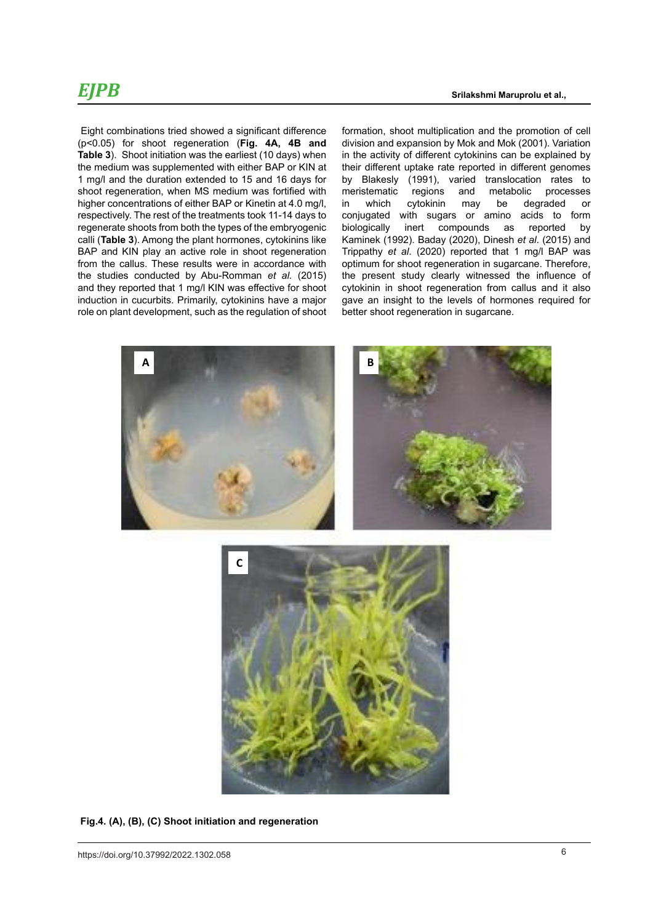### *EJPB*

 Eight combinations tried showed a significant difference  $(p < 0.05)$  for shoot regeneration (Fig. 4A, 4B and division and **Table 3**). Shoot initiation was the earliest (10 days) when the medium was supplemented with either BAP or KIN at 1 mg/l and the duration extended to 15 and 16 days for shoot regeneration, when MS medium was fortified with higher concentrations of either BAP or Kinetin at 4.0 mg/l. respectively. The rest of the treatments took 11-14 days to regenerate shoots from both the types of the embryogenic calli (**Table 3**). Among the plant hormones, cytokinins like BAP and KIN play an active role in shoot regeneration from the callus. These results were in accordance with the studies conducted by Abu-Romman *et al.* (2015) and they reported that 1 mg/l KIN was effective for shoot induction in cucurbits. Primarily, cytokinins have a major role on plant development, such as the regulation of shoot

formation, shoot multiplication and the promotion of cell division and expansion by Mok and Mok (2001). Variation in the activity of different cytokinins can be explained by their different uptake rate reported in different genomes by Blakesly (1991), varied translocation rates to<br>meristematic regions and metabolic processes meristematic regions and metabolic<br>in which cytokinin may be dein which cytokinin may be degraded or conjugated with sugars or amino acids to form biologically inert compounds as reported by Kaminek (1992). Baday (2020), Dinesh *et al*. (2015) and Trippathy *et al*. (2020) reported that 1 mg/l BAP was optimum for shoot regeneration in sugarcane. Therefore, the present study clearly witnessed the influence of cytokinin in shoot regeneration from callus and it also gave an insight to the levels of hormones required for better shoot regeneration in sugarcane.



 **Fig.4. (A), (B), (C) Shoot initiation and regeneration**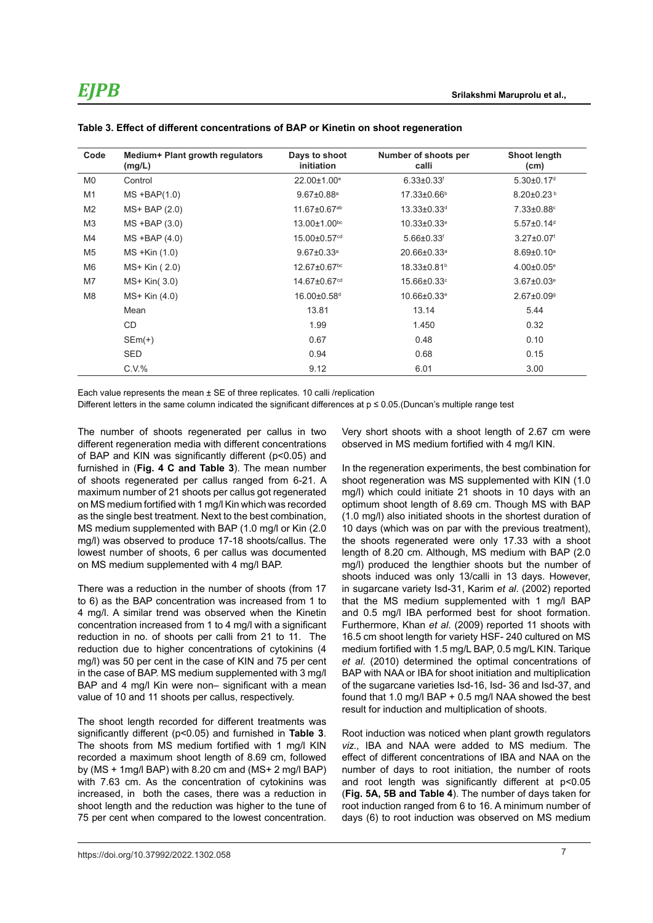| Code           | Medium+ Plant growth regulators<br>(mg/L) | Days to shoot<br>initiation  | Number of shoots per<br>calli | <b>Shoot length</b><br>(cm)  |
|----------------|-------------------------------------------|------------------------------|-------------------------------|------------------------------|
| M <sub>0</sub> | Control                                   | 22.00±1.00 <sup>e</sup>      | $6.33 \pm 0.33$ <sup>f</sup>  | $5.30 \pm 0.17$ <sup>d</sup> |
| M1             | $MS + BAP(1.0)$                           | $9.67 \pm 0.88$ <sup>a</sup> | $17.33 \pm 0.66$ <sup>b</sup> | $8.20 \pm 0.23$ <sup>b</sup> |
| M <sub>2</sub> | $MS+BAP(2.0)$                             | 11.67±0.67 <sup>ab</sup>     | 13.33±0.33 <sup>d</sup>       | 7.33±0.88°                   |
| M <sub>3</sub> | $MS$ +BAP $(3.0)$                         | 13.00±1.00bc                 | $10.33 \pm 0.33$ <sup>e</sup> | $5.57 \pm 0.14$ <sup>d</sup> |
| M4             | $MS$ +BAP $(4.0)$                         | 15.00±0.57 <sup>cd</sup>     | $5.66 \pm 0.33$ <sup>f</sup>  | $3.27 \pm 0.07$ <sup>f</sup> |
| M5             | MS +Kin (1.0)                             | $9.67 \pm 0.33$ <sup>a</sup> | $20.66 \pm 0.33$ <sup>a</sup> | $8.69 \pm 0.10^a$            |
| M6             | MS+ Kin (2.0)                             | 12.67±0.67 <sup>bc</sup>     | 18.33±0.81 <sup>b</sup>       | $4.00 \pm 0.05$ <sup>e</sup> |
| M7             | $MS+ Kin(3.0)$                            | 14.67±0.67 <sup>cd</sup>     | 15.66±0.33°                   | $3.67 \pm 0.03$ <sup>e</sup> |
| M <sub>8</sub> | $MS+ Kin(4.0)$                            | 16.00±0.58 <sup>d</sup>      | $10.66 \pm 0.33$ <sup>e</sup> | $2.67 \pm 0.09$ <sup>g</sup> |
|                | Mean                                      | 13.81                        | 13.14                         | 5.44                         |
|                | CD                                        | 1.99                         | 1.450                         | 0.32                         |
|                | $SEm(+)$                                  | 0.67                         | 0.48                          | 0.10                         |
|                | <b>SED</b>                                | 0.94                         | 0.68                          | 0.15                         |
|                | C.V.%                                     | 9.12                         | 6.01                          | 3.00                         |

#### **Table 3. Effect of different concentrations of BAP or Kinetin on shoot regeneration**

Each value represents the mean ± SE of three replicates. 10 calli /replication

Different letters in the same column indicated the significant differences at p ≤ 0.05.(Duncan's multiple range test

The number of shoots regenerated per callus in two different regeneration media with different concentrations of BAP and KIN was significantly different (p<0.05) and furnished in (**Fig. 4 C and Table 3**). The mean number of shoots regenerated per callus ranged from 6-21. A maximum number of 21 shoots per callus got regenerated on MS medium fortified with 1 mg/l Kin which was recorded as the single best treatment. Next to the best combination, MS medium supplemented with BAP (1.0 mg/l or Kin (2.0 mg/l) was observed to produce 17-18 shoots/callus. The lowest number of shoots, 6 per callus was documented on MS medium supplemented with 4 mg/l BAP.

There was a reduction in the number of shoots (from 17 to 6) as the BAP concentration was increased from 1 to 4 mg/l. A similar trend was observed when the Kinetin concentration increased from 1 to 4 mg/l with a significant reduction in no. of shoots per calli from 21 to 11. The reduction due to higher concentrations of cytokinins (4 mg/l) was 50 per cent in the case of KIN and 75 per cent in the case of BAP. MS medium supplemented with 3 mg/l BAP and 4 mg/l Kin were non– significant with a mean value of 10 and 11 shoots per callus, respectively.

The shoot length recorded for different treatments was significantly different (p<0.05) and furnished in **Table 3**. The shoots from MS medium fortified with 1 mg/l KIN recorded a maximum shoot length of 8.69 cm, followed by ( $MS + 1$ mg/l BAP) with 8.20 cm and ( $MS + 2$  mg/l BAP) with 7.63 cm. As the concentration of cytokinins was increased, in both the cases, there was a reduction in shoot length and the reduction was higher to the tune of 75 per cent when compared to the lowest concentration.

Very short shoots with a shoot length of 2.67 cm were observed in MS medium fortified with 4 mg/l KIN.

In the regeneration experiments, the best combination for shoot regeneration was MS supplemented with KIN (1.0 mg/l) which could initiate 21 shoots in 10 days with an optimum shoot length of 8.69 cm. Though MS with BAP (1.0 mg/l) also initiated shoots in the shortest duration of 10 days (which was on par with the previous treatment), the shoots regenerated were only 17.33 with a shoot length of 8.20 cm. Although, MS medium with BAP (2.0 mg/l) produced the lengthier shoots but the number of shoots induced was only 13/calli in 13 days. However, in sugarcane variety Isd-31, Karim *et al*. (2002) reported that the MS medium supplemented with 1 mg/l BAP and 0.5 mg/l IBA performed best for shoot formation. Furthermore, Khan *et al*. (2009) reported 11 shoots with 16.5 cm shoot length for variety HSF- 240 cultured on MS medium fortified with 1.5 mg/L BAP, 0.5 mg/L KIN. Tarique *et al*. (2010) determined the optimal concentrations of BAP with NAA or IBA for shoot initiation and multiplication of the sugarcane varieties Isd-16, Isd- 36 and Isd-37, and found that 1.0 mg/l BAP + 0.5 mg/l NAA showed the best result for induction and multiplication of shoots.

Root induction was noticed when plant growth regulators *viz.,* IBA and NAA were added to MS medium. The effect of different concentrations of IBA and NAA on the number of days to root initiation, the number of roots and root length was significantly different at p<0.05 (**Fig. 5A, 5B and Table 4**). The number of days taken for root induction ranged from 6 to 16. A minimum number of days (6) to root induction was observed on MS medium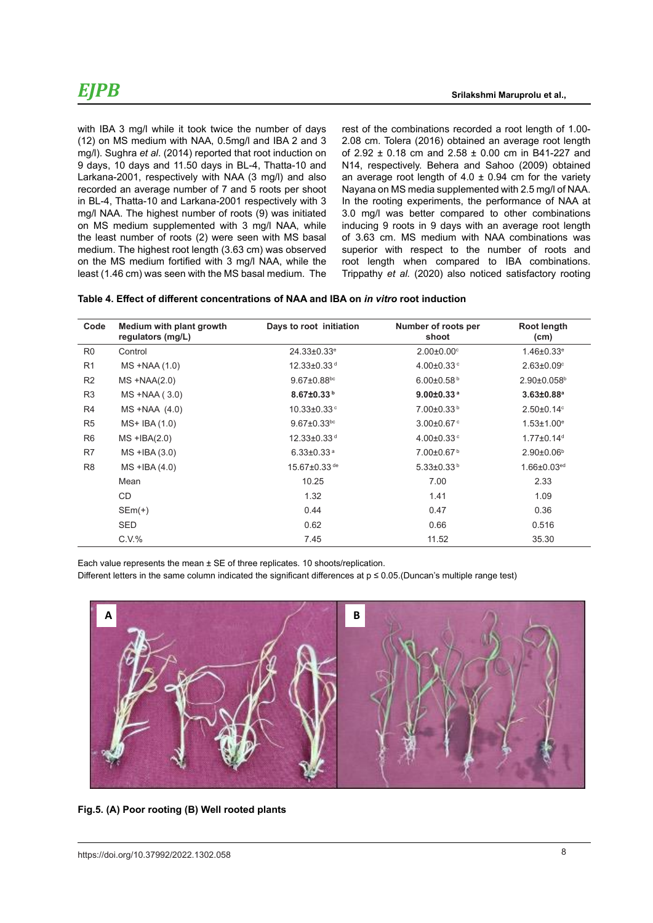with IBA 3 mg/l while it took twice the number of days (12) on MS medium with NAA, 0.5mg/l and IBA 2 and 3 mg/l). Sughra *et al*. (2014) reported that root induction on 9 days, 10 days and 11.50 days in BL-4, Thatta-10 and Larkana-2001, respectively with NAA (3 mg/l) and also recorded an average number of 7 and 5 roots per shoot in BL-4, Thatta-10 and Larkana-2001 respectively with 3 mg/l NAA. The highest number of roots (9) was initiated on MS medium supplemented with 3 mg/l NAA, while the least number of roots (2) were seen with MS basal medium. The highest root length (3.63 cm) was observed on the MS medium fortified with 3 mg/l NAA, while the least (1.46 cm) was seen with the MS basal medium. The rest of the combinations recorded a root length of 1.00- 2.08 cm. Tolera (2016) obtained an average root length of 2.92  $\pm$  0.18 cm and 2.58  $\pm$  0.00 cm in B41-227 and N14, respectively. Behera and Sahoo (2009) obtained an average root length of  $4.0 \pm 0.94$  cm for the variety Nayana on MS media supplemented with 2.5 mg/l of NAA. In the rooting experiments, the performance of NAA at 3.0 mg/l was better compared to other combinations inducing 9 roots in 9 days with an average root length of 3.63 cm. MS medium with NAA combinations was superior with respect to the number of roots and root length when compared to IBA combinations. Trippathy *et al.* (2020) also noticed satisfactory rooting

| Table 4. Effect of different concentrations of NAA and IBA on <i>in vitro</i> root induction |  |
|----------------------------------------------------------------------------------------------|--|
|----------------------------------------------------------------------------------------------|--|

| Code           | Medium with plant growth<br>regulators (mg/L) | Days to root initiation       | Number of roots per<br>shoot | Root length<br>(cm)           |
|----------------|-----------------------------------------------|-------------------------------|------------------------------|-------------------------------|
| R <sub>0</sub> | Control                                       | $24.33 \pm 0.33$ <sup>e</sup> | $2.00 \pm 0.00$ °            | $1.46 \pm 0.33$ <sup>e</sup>  |
| R1             | $MS + NAA(1.0)$                               | $12.33 \pm 0.33$ <sup>d</sup> | $4.00 \pm 0.33$ °            | $2.63 \pm 0.09$ °             |
| R <sub>2</sub> | $MS + NAA(2.0)$                               | $9.67 \pm 0.88$ bc            | $6.00 \pm 0.58$ <sup>b</sup> | $2.90 \pm 0.058$ <sup>b</sup> |
| R <sub>3</sub> | $MS + NAA(3.0)$                               | 8.67±0.33 <sup>b</sup>        | $9.00 \pm 0.33$ <sup>a</sup> | $3.63 \pm 0.88$ <sup>a</sup>  |
| R4             | $MS + NAA (4.0)$                              | $10.33 \pm 0.33$ °            | $7.00\pm0.33^{b}$            | $2.50 \pm 0.14$ °             |
| R <sub>5</sub> | $MS+ IBA(1.0)$                                | $9.67 \pm 0.33$ bc            | $3.00 \pm 0.67$ <sup>c</sup> | $1.53 \pm 1.00^e$             |
| R <sub>6</sub> | $MS + IBA(2.0)$                               | 12.33±0.33 <sup>d</sup>       | $4.00 \pm 0.33$ <sup>c</sup> | $1.77 \pm 0.14$ <sup>d</sup>  |
| R7             | $MS$ +IBA $(3.0)$                             | $6.33 \pm 0.33$ <sup>a</sup>  | 7.00±0.67 <sup>b</sup>       | $2.90 \pm 0.06$ <sup>b</sup>  |
| R <sub>8</sub> | $MS$ +IBA $(4.0)$                             | 15.67±0.33 de                 | $5.33 \pm 0.33^b$            | $1.66 \pm 0.03$ <sup>ed</sup> |
|                | Mean                                          | 10.25                         | 7.00                         | 2.33                          |
|                | CD                                            | 1.32                          | 1.41                         | 1.09                          |
|                | $SEm(+)$                                      | 0.44                          | 0.47                         | 0.36                          |
|                | <b>SED</b>                                    | 0.62                          | 0.66                         | 0.516                         |
|                | C.V.%                                         | 7.45                          | 11.52                        | 35.30                         |

Each value represents the mean ± SE of three replicates. 10 shoots/replication.

Different letters in the same column indicated the significant differences at  $p \le 0.05$ . (Duncan's multiple range test)



 **Fig.5. (A) Poor rooting (B) Well rooted plants Fig.5. (A) Poor rooting (B) Well rooted plants**

**A B**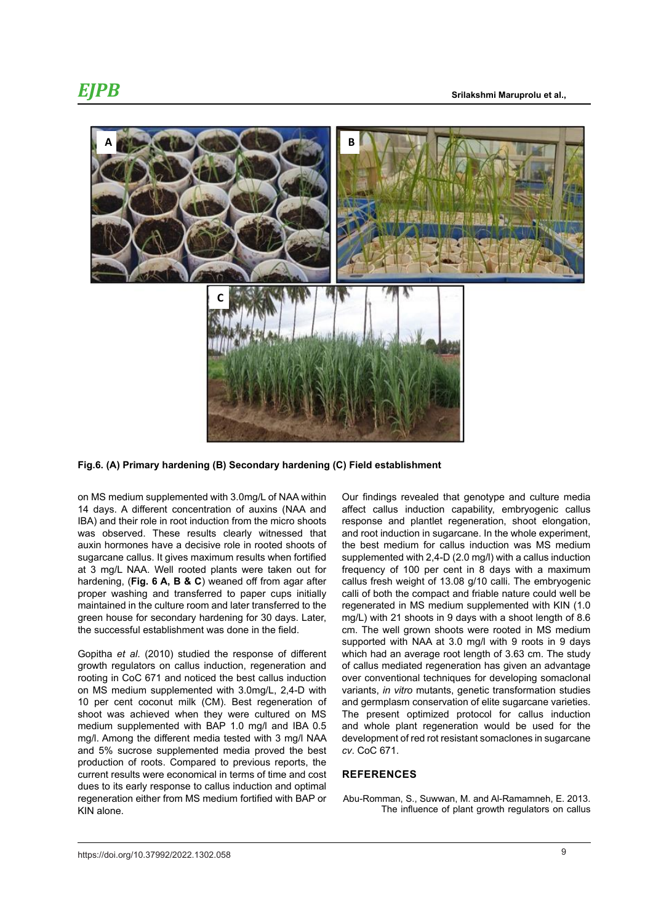

### **Fig.6. (A) Primary hardening (B) Secondary hardening (C) Field establishment Fig.6. (A) Primary hardening (B) Secondary hardening (C) Field establishment**

on MS medium supplemented with 3.0mg/L of NAA within 14 days. A different concentration of auxins (NAA and IBA) and their role in root induction from the micro shoots was observed. These results clearly witnessed that auxin hormones have a decisive role in rooted shoots of sugarcane callus. It gives maximum results when fortified at 3 mg/L NAA. Well rooted plants were taken out for hardening, (**Fig. 6 A, B & C**) weaned off from agar after proper washing and transferred to paper cups initially maintained in the culture room and later transferred to the regenerated in MS medium supplem green house for secondary hardening for 30 days. Later, the successful establishment was done in the field.

Gopitha *et al*. (2010) studied the response of different growth regulators on callus induction, regeneration and rooting in CoC 671 and noticed the best callus induction on MS medium supplemented with 3.0mg/L, 2,4-D with 10 per cent coconut milk (CM). Best regeneration of shoot was achieved when they were cultured on MS medium supplemented with BAP 1.0 mg/l and IBA 0.5 mg/l. Among the different media tested with 3 mg/l NAA and 5% sucrose supplemented media proved the best production of roots. Compared to previous reports, the current results were economical in terms of time and cost dues to its early response to callus induction and optimal regeneration either from MS medium fortified with BAP or KIN alone.

Our findings revealed that genotype and culture media affect callus induction capability, embryogenic callus response and plantlet regeneration, shoot elongation, and root induction in sugarcane. In the whole experiment, the best medium for callus induction was MS medium supplemented with 2,4-D (2.0 mg/l) with a callus induction frequency of 100 per cent in 8 days with a maximum callus fresh weight of 13.08 g/10 calli. The embryogenic calli of both the compact and friable nature could well be regenerated in MS medium supplemented with KIN (1.0 mg/L) with 21 shoots in 9 days with a shoot length of 8.6 cm. The well grown shoots were rooted in MS medium supported with NAA at 3.0 mg/l with 9 roots in 9 days which had an average root length of 3.63 cm. The study of callus mediated regeneration has given an advantage over conventional techniques for developing somaclonal variants, *in vitro* mutants, genetic transformation studies and germplasm conservation of elite sugarcane varieties. The present optimized protocol for callus induction and whole plant regeneration would be used for the development of red rot resistant somaclones in sugarcane *cv*. CoC 671.

#### **REFERENCES**

Abu-Romman, S., Suwwan, M. and Al-Ramamneh, E. 2013. The influence of plant growth regulators on callus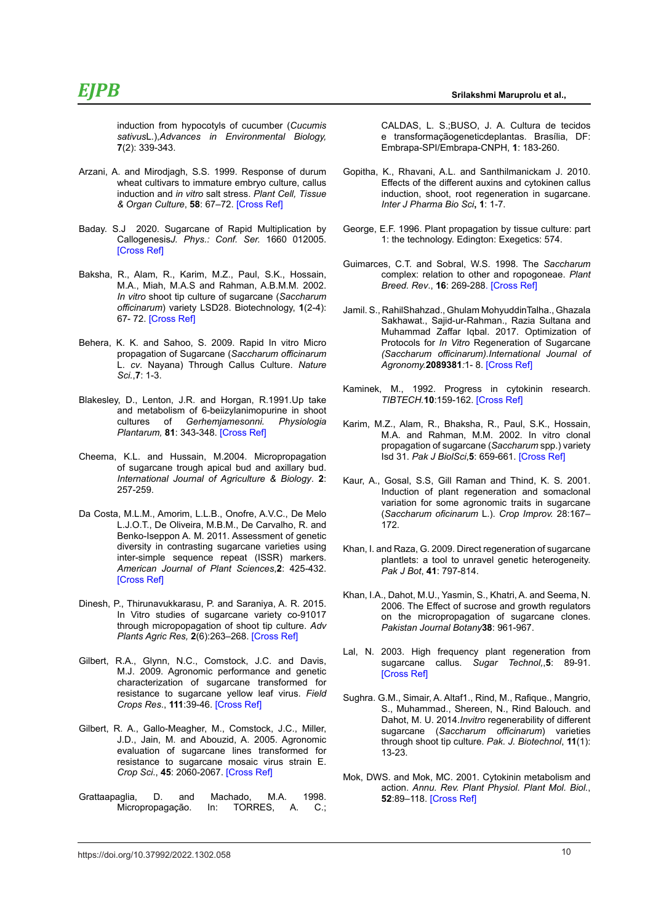induction from hypocotyls of cucumber (*Cucumis sativus*L.),*Advances in Environmental Biology,*  **7**(2): 339-343.

- Arzani, A. and Mirodjagh, S.S. 1999. Response of durum wheat cultivars to immature embryo culture, callus induction and *in vitro* salt stress. *Plant Cell, Tissue & Organ Culture*, **58**: 67–72. [\[Cross Ref\]](%20https://doi.org/10.1023/A:1006309718575)
- Baday. S.J 2020. Sugarcane of Rapid Multiplication by Callogenesis*J. Phys.: Conf. Ser.* 1660 012005. [\[Cross Ref\]](https://doi.org/10.1088/1742-6596/1660/1/012005)
- Baksha, R., Alam, R., Karim, M.Z., Paul, S.K., Hossain, M.A., Miah, M.A.S and Rahman, A.B.M.M. 2002. *In vitro* shoot tip culture of sugarcane (*Saccharum officinarum*) variety LSD28. Biotechnology, **1**(2-4): 67- 72. [\[Cross Ref\]](https://doi.org/10.3923/biotech.2002.67.72)
- Behera, K. K. and Sahoo, S. 2009. Rapid In vitro Micro propagation of Sugarcane (*Saccharum officinarum* L. *cv*. Nayana) Through Callus Culture. *Nature Sci.*,**7**: 1-3.
- Blakesley, D., Lenton, J.R. and Horgan, R.1991.Up take and metabolism of 6-beiizylanimopurine in shoot cultures of *Gerhemjamesonni. Physiologia Plantarum,* **81**: 343-348. [\[Cross Ref\]](https://doi.org/10.1111/j.1399-3054.1991.tb08742.x)
- Cheema, K.L. and Hussain, M.2004. Micropropagation of sugarcane trough apical bud and axillary bud. *International Journal of Agriculture & Biology*. **2**: 257-259.
- Da Costa, M.L.M., Amorim, L.L.B., Onofre, A.V.C., De Melo L.J.O.T., De Oliveira, M.B.M., De Carvalho, R. and Benko-Iseppon A. M. 2011. Assessment of genetic diversity in contrasting sugarcane varieties using inter-simple sequence repeat (ISSR) markers. *American Journal of Plant Sciences*,**2**: 425-432. [\[Cross Ref\]](https://doi.org/10.4236/ajps.2011.23048)
- Dinesh, P., Thirunavukkarasu, P. and Saraniya, A. R. 2015. In Vitro studies of sugarcane variety co-91017 through micropopagation of shoot tip culture. *Adv Plants Agric Res,* **2**(6):263‒268. [\[Cross Ref\]](https://doi.org/10.15406/apar.2015.02.00071)
- Gilbert, R.A., Glynn, N.C., Comstock, J.C. and Davis, M.J. 2009. Agronomic performance and genetic characterization of sugarcane transformed for resistance to sugarcane yellow leaf virus. *Field Crops Res*., **111**:39-46. [\[Cross Ref\]](https://doi.org/10.1016/j.fcr.2008.10.009)
- Gilbert, R. A., Gallo-Meagher, M., Comstock, J.C., Miller, J.D., Jain, M. and Abouzid, A. 2005. Agronomic evaluation of sugarcane lines transformed for resistance to sugarcane mosaic virus strain E. *Crop Sci*., **45**: 2060-2067. [\[Cross Ref\]](https://doi.org/10.2135/cropsci2004.0771)
- Grattaapaglia, D. and Machado, M.A. 1998. Micropropagação. In: TORRES, A. C.;

CALDAS, L. S.;BUSO, J. A. Cultura de tecidos e transformaçãogeneticdeplantas. Brasília, DF: Embrapa-SPI/Embrapa-CNPH, **1**: 183-260.

- Gopitha, K., Rhavani, A.L. and Santhilmanickam J. 2010. Effects of the different auxins and cytokinen callus induction, shoot, root regeneration in sugarcane. *Inter J Pharma Bio Sci***, 1**: 1-7.
- George, E.F. 1996. Plant propagation by tissue culture: part 1: the technology. Edington: Exegetics: 574.
- Guimarces, C.T. and Sobral, W.S. 1998. The *Saccharum*  complex: relation to other and ropogoneae. *Plant Breed. Rev*., **16**: 269-288[. \[Cross Ref\]](https://doi.org/10.1002/9780470650110.ch7)
- Jamil. S., RahilShahzad., Ghulam MohyuddinTalha., Ghazala Sakhawat., Sajid-ur-Rahman., Razia Sultana and Muhammad Zaffar Iqbal. 2017. Optimization of Protocols for *In Vitro* Regeneration of Sugarcane *(Saccharum officinarum).International Journal of Agronomy.***2089381***:*1- 8. [\[Cross Ref\]](https://doi.org/10.1155/2017/2089381)
- Kaminek, M., 1992. Progress in cytokinin research. *TIBTECH.***10**:159-162. [\[Cross Ref\]](https://doi.org/10.1016/0167-7799%2892%2990204-9)
- Karim, M.Z., Alam, R., Bhaksha, R., Paul, S.K., Hossain, M.A. and Rahman, M.M. 2002. In vitro clonal propagation of sugarcane (*Saccharum* spp.) variety Isd 31. *Pak J BiolSci*,**5**: 659-661. [\[Cross Ref\]](https://doi.org/10.3923/pjbs.2002.659.661)
- Kaur, A., Gosal, S.S, Gill Raman and Thind, K. S. 2001. Induction of plant regeneration and somaclonal variation for some agronomic traits in sugarcane (*Saccharum oficinarum* L.). *Crop Improv.* 28:167– 172.
- Khan, I. and Raza, G. 2009. Direct regeneration of sugarcane plantlets: a tool to unravel genetic heterogeneity. *Pak J Bot*, **41**: 797-814.
- Khan, I.A., Dahot, M.U., Yasmin, S., Khatri, A. and Seema, N. 2006. The Effect of sucrose and growth regulators on the micropropagation of sugarcane clones. *Pakistan Journal Botany***38**: 961-967.
- Lal, N. 2003. High frequency plant regeneration from sugarcane callus. *Sugar Technol,*,**5**: 89-91. [\[Cross Ref\]](https://doi.org/10.1007/BF02943773)
- Sughra. G.M., Simair, A. Altaf1., Rind, M., Rafique., Mangrio, S., Muhammad., Shereen, N., Rind Balouch. and Dahot, M. U. 2014.*Invitro* regenerability of different sugarcane (*Saccharum officinarum*) varieties through shoot tip culture. *Pak. J. Biotechnol*, **11**(1): 13-23.
- Mok, DWS. and Mok, MC. 2001. Cytokinin metabolism and action. *Annu. Rev. Plant Physiol. Plant Mol. Biol.*, **52**:89–118. [\[Cross Ref\]](https://doi.org/10.1146/annurev.arplant.52.1.89)

10 https://doi.org/10.37992/2022.1302.058